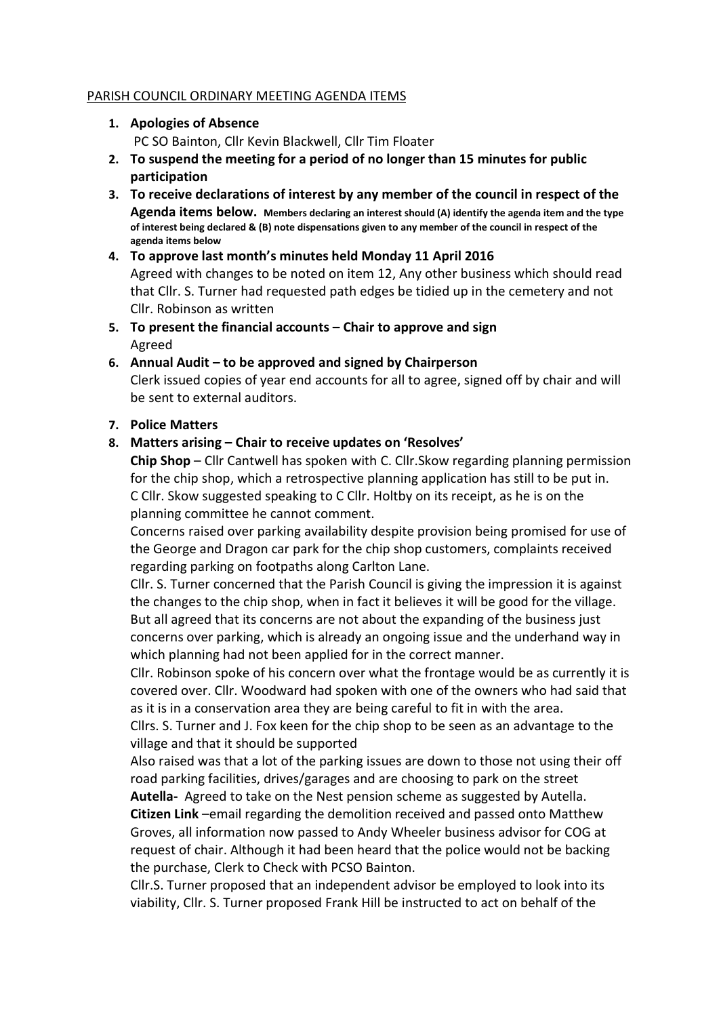#### PARISH COUNCIL ORDINARY MEETING AGENDA ITEMS

- 1. Apologies of Absence PC SO Bainton, Cllr Kevin Blackwell, Cllr Tim Floater
- 2. To suspend the meeting for a period of no longer than 15 minutes for public participation
- 3. To receive declarations of interest by any member of the council in respect of the Agenda items below. Members declaring an interest should (A) identify the agenda item and the type of interest being declared & (B) note dispensations given to any member of the council in respect of the agenda items below
- 4. To approve last month's minutes held Monday 11 April 2016 Agreed with changes to be noted on item 12, Any other business which should read that Cllr. S. Turner had requested path edges be tidied up in the cemetery and not Cllr. Robinson as written
- 5. To present the financial accounts Chair to approve and sign Agreed
- 6. Annual Audit to be approved and signed by Chairperson Clerk issued copies of year end accounts for all to agree, signed off by chair and will be sent to external auditors.

## 7. Police Matters

#### 8. Matters arising – Chair to receive updates on 'Resolves'

**Chip Shop** – Cllr Cantwell has spoken with C. Cllr. Skow regarding planning permission for the chip shop, which a retrospective planning application has still to be put in. C Cllr. Skow suggested speaking to C Cllr. Holtby on its receipt, as he is on the planning committee he cannot comment.

Concerns raised over parking availability despite provision being promised for use of the George and Dragon car park for the chip shop customers, complaints received regarding parking on footpaths along Carlton Lane.

Cllr. S. Turner concerned that the Parish Council is giving the impression it is against the changes to the chip shop, when in fact it believes it will be good for the village. But all agreed that its concerns are not about the expanding of the business just concerns over parking, which is already an ongoing issue and the underhand way in which planning had not been applied for in the correct manner.

Cllr. Robinson spoke of his concern over what the frontage would be as currently it is covered over. Cllr. Woodward had spoken with one of the owners who had said that as it is in a conservation area they are being careful to fit in with the area.

Cllrs. S. Turner and J. Fox keen for the chip shop to be seen as an advantage to the village and that it should be supported

Also raised was that a lot of the parking issues are down to those not using their off road parking facilities, drives/garages and are choosing to park on the street

Autella- Agreed to take on the Nest pension scheme as suggested by Autella. Citizen Link –email regarding the demolition received and passed onto Matthew Groves, all information now passed to Andy Wheeler business advisor for COG at request of chair. Although it had been heard that the police would not be backing the purchase, Clerk to Check with PCSO Bainton.

Cllr.S. Turner proposed that an independent advisor be employed to look into its viability, Cllr. S. Turner proposed Frank Hill be instructed to act on behalf of the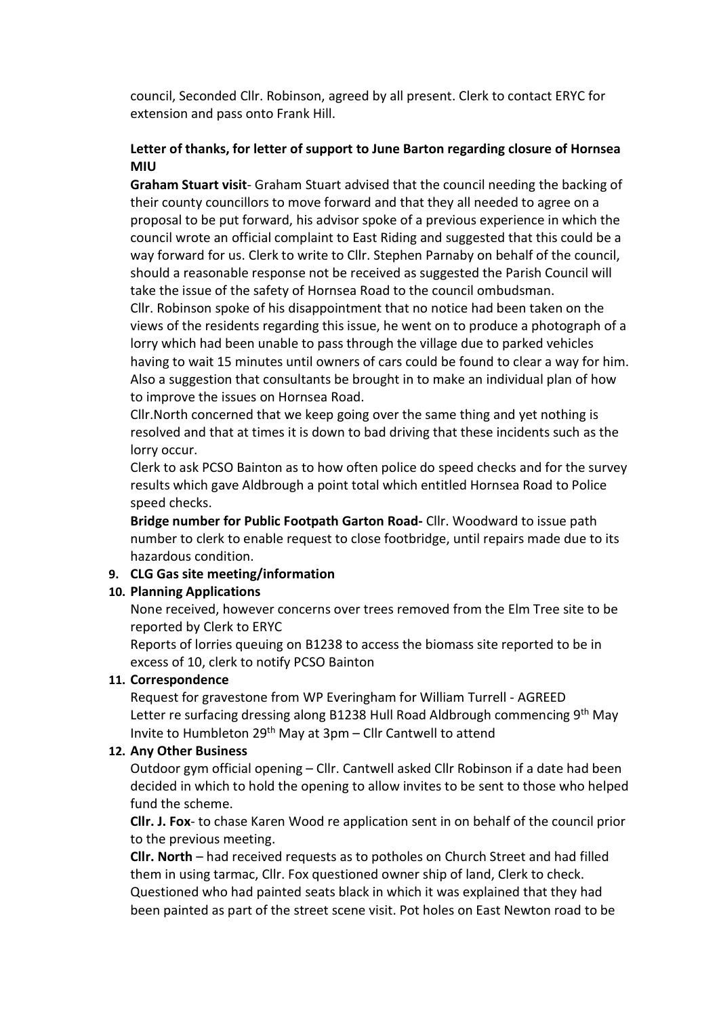council, Seconded Cllr. Robinson, agreed by all present. Clerk to contact ERYC for extension and pass onto Frank Hill.

# Letter of thanks, for letter of support to June Barton regarding closure of Hornsea MIU

Graham Stuart visit- Graham Stuart advised that the council needing the backing of their county councillors to move forward and that they all needed to agree on a proposal to be put forward, his advisor spoke of a previous experience in which the council wrote an official complaint to East Riding and suggested that this could be a way forward for us. Clerk to write to Cllr. Stephen Parnaby on behalf of the council, should a reasonable response not be received as suggested the Parish Council will take the issue of the safety of Hornsea Road to the council ombudsman.

Cllr. Robinson spoke of his disappointment that no notice had been taken on the views of the residents regarding this issue, he went on to produce a photograph of a lorry which had been unable to pass through the village due to parked vehicles having to wait 15 minutes until owners of cars could be found to clear a way for him. Also a suggestion that consultants be brought in to make an individual plan of how to improve the issues on Hornsea Road.

Cllr.North concerned that we keep going over the same thing and yet nothing is resolved and that at times it is down to bad driving that these incidents such as the lorry occur.

Clerk to ask PCSO Bainton as to how often police do speed checks and for the survey results which gave Aldbrough a point total which entitled Hornsea Road to Police speed checks.

Bridge number for Public Footpath Garton Road- Cllr. Woodward to issue path number to clerk to enable request to close footbridge, until repairs made due to its hazardous condition.

## 9. CLG Gas site meeting/information

## 10. Planning Applications

None received, however concerns over trees removed from the Elm Tree site to be reported by Clerk to ERYC

Reports of lorries queuing on B1238 to access the biomass site reported to be in excess of 10, clerk to notify PCSO Bainton

## 11. Correspondence

Request for gravestone from WP Everingham for William Turrell - AGREED Letter re surfacing dressing along B1238 Hull Road Aldbrough commencing 9<sup>th</sup> May Invite to Humbleton 29th May at 3pm – Cllr Cantwell to attend

#### 12. Any Other Business

Outdoor gym official opening – Cllr. Cantwell asked Cllr Robinson if a date had been decided in which to hold the opening to allow invites to be sent to those who helped fund the scheme.

Cllr. J. Fox- to chase Karen Wood re application sent in on behalf of the council prior to the previous meeting.

Cllr. North – had received requests as to potholes on Church Street and had filled them in using tarmac, Cllr. Fox questioned owner ship of land, Clerk to check. Questioned who had painted seats black in which it was explained that they had been painted as part of the street scene visit. Pot holes on East Newton road to be